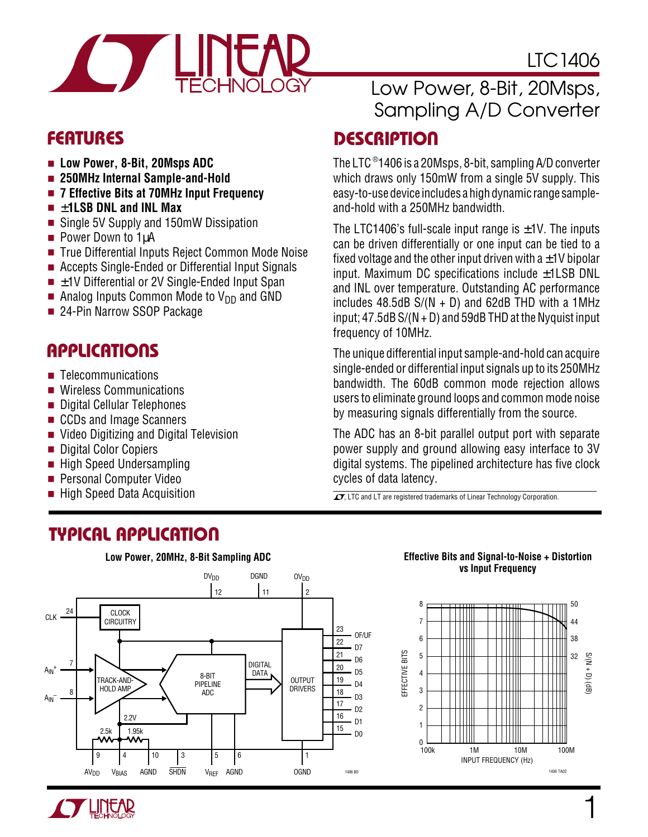

- **Low Power, 8-Bit, 20Msps ADC**
- **250MHz Internal Sample-and-Hold**
- 7 Effective Bits at 70MHz Input Frequency
- ±**1LSB DNL and INL Max**
- Single 5V Supply and 150mW Dissipation
- Power Down to 1µA
- True Differential Inputs Reject Common Mode Noise
- Accepts Single-Ended or Differential Input Signals
- $\blacksquare$   $\pm$  1V Differential or 2V Single-Ended Input Span
- Analog Inputs Common Mode to  $V_{DD}$  and GND
- 24-Pin Narrow SSOP Package

### **APPLICATIONS**  $\overline{\phantom{0}}$

- Telecommunications
- Wireless Communications
- Digital Cellular Telephones
- CCDs and Image Scanners
- Video Digitizing and Digital Television
- Digital Color Copiers
- High Speed Undersampling
- Personal Computer Video
- **High Speed Data Acquisition**

# **TYPICAL APPLICATION U**



### Low Power, 8-Bit, 20Msps, Sampling A/D Converter

LTC1406

### **DESCRIPTION U FEATURES**

The LTC ®1406 is a 20Msps, 8-bit, sampling A/D converter which draws only 150mW from a single 5V supply. This easy-to-use device includes a high dynamic range sampleand-hold with a 250MHz bandwidth.

The LTC1406's full-scale input range is  $\pm$ 1V. The inputs can be driven differentially or one input can be tied to a fixed voltage and the other input driven with  $a \pm 1$ V bipolar input. Maximum DC specifications include ±1LSB DNL and INL over temperature. Outstanding AC performance includes  $48.5dB S/(N + D)$  and  $62dB THD$  with a 1MHz input;  $47.5dB S/(N + D)$  and  $59dB THD$  at the Nyquist input frequency of 10MHz.

The unique differential input sample-and-hold can acquire single-ended or differential input signals up to its 250MHz bandwidth. The 60dB common mode rejection allows users to eliminate ground loops and common mode noise by measuring signals differentially from the source.

The ADC has an 8-bit parallel output port with separate power supply and ground allowing easy interface to 3V digital systems. The pipelined architecture has five clock cycles of data latency.

 $T$ , LTC and LT are registered trademarks of Linear Technology Corporation.

#### **Effective Bits and Signal-to-Noise + Distortion vs Input Frequency**



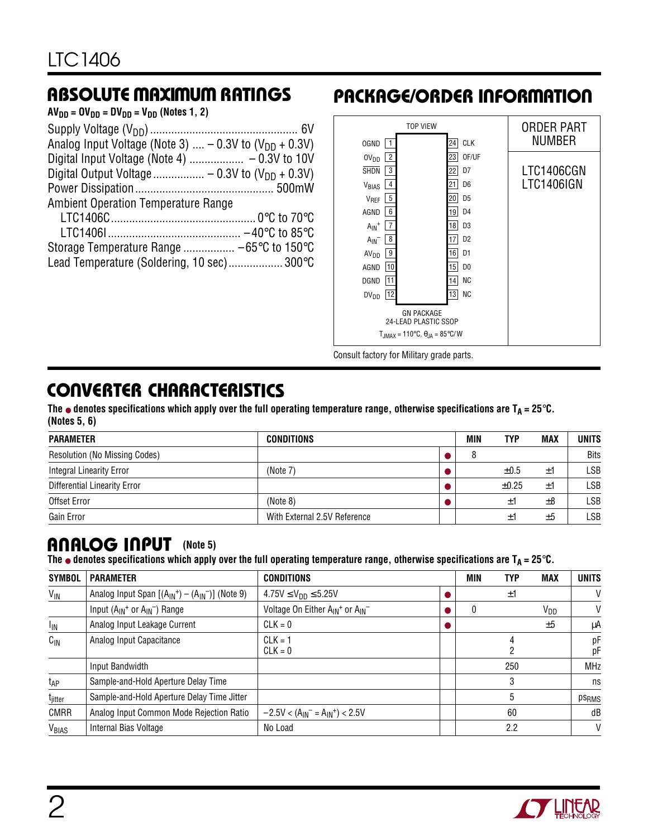| $AV_{DD} = OV_{DD} = DV_{DD} = V_{DD}$ (Notes 1, 2)                |  |
|--------------------------------------------------------------------|--|
|                                                                    |  |
| Analog Input Voltage (Note 3) $-$ 0.3V to (V <sub>DD</sub> + 0.3V) |  |
|                                                                    |  |
|                                                                    |  |
|                                                                    |  |
| <b>Ambient Operation Temperature Range</b>                         |  |
|                                                                    |  |
|                                                                    |  |
|                                                                    |  |
| Lead Temperature (Soldering, 10 sec) 300°C                         |  |
|                                                                    |  |

### **ABSOLUTE MAXIMUM RATINGS <sup>W</sup> <sup>W</sup> <sup>W</sup> <sup>U</sup> PACKAGE/ORDER INFORMATION <sup>U</sup> <sup>W</sup> <sup>U</sup>**



Consult factory for Military grade parts.

# **CONVERTER CHARACTERISTICS**

The  $\bullet$  denotes specifications which apply over the full operating temperature range, otherwise specifications are  $T_A = 25^\circ \text{C}$ . **(Notes 5, 6)**

| <b>PARAMETER</b>                    | <b>CONDITIONS</b>            | MIN | TYP        | <b>MAX</b> | <b>UNITS</b> |
|-------------------------------------|------------------------------|-----|------------|------------|--------------|
| Resolution (No Missing Codes)       |                              |     |            |            | <b>Bits</b>  |
| Integral Linearity Error            | (Note 7)                     |     | ±0.5       | ±1         | LSB          |
| <b>Differential Linearity Error</b> |                              |     | $\pm 0.25$ | ±1         | LSB          |
| Offset Error                        | (Note 8)                     |     | Ŧ.         | ±8         | LSB          |
| Gain Error                          | With External 2.5V Reference |     | Ŧ.         | ±5         | LSB          |

### **ANALOG INPUT** (Note 5)

The  $\bullet$  denotes specifications which apply over the full operating temperature range, otherwise specifications are  $T_A = 25^\circ \text{C}$ .

| <b>SYMBOL</b>       | <b>PARAMETER</b>                                       | <b>CONDITIONS</b>                                        | <b>MIN</b> | <b>TYP</b> | <b>MAX</b>      | <b>UNITS</b> |
|---------------------|--------------------------------------------------------|----------------------------------------------------------|------------|------------|-----------------|--------------|
| $V_{\text{IN}}$     | Analog Input Span $[(A_{IN}^+) - (A_{IN}^-)]$ (Note 9) | $4.75V \le V_{DD} \le 5.25V$                             |            | ±1         |                 | V            |
|                     | Input $(A_{IN}$ <sup>+</sup> or $A_{IN}^-$ ) Range     | Voltage On Either A <sub>IN</sub> + or A <sub>IN</sub> - |            |            | V <sub>DD</sub> | V            |
| $I_{IN}$            | Analog Input Leakage Current                           | $CLK = 0$                                                |            |            | ±5              | μA           |
| $C_{IN}$            | Analog Input Capacitance                               | $CLK = 1$<br>$CLK = 0$                                   |            | 2          |                 | рF<br>рF     |
|                     | Input Bandwidth                                        |                                                          |            | 250        |                 | <b>MHz</b>   |
| t <sub>AP</sub>     | Sample-and-Hold Aperture Delay Time                    |                                                          |            | 3          |                 | ns           |
| t <sub>jitter</sub> | Sample-and-Hold Aperture Delay Time Jitter             |                                                          |            | 5          |                 | <b>PSRMS</b> |
| <b>CMRR</b>         | Analog Input Common Mode Rejection Ratio               | $-2.5V < (A_{IN}^- = A_{IN}^+) < 2.5V$                   |            | 60         |                 | dB           |
| VBIAS               | Internal Bias Voltage                                  | No Load                                                  |            | 2.2        |                 | $\vee$       |

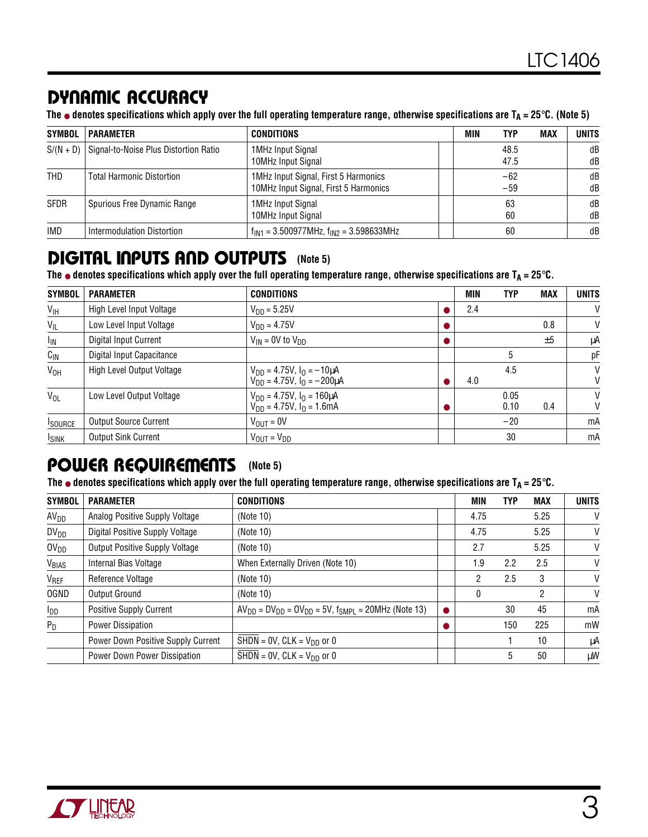### **DY IC ACCURACY U W A**

**The** ● **denotes specifications which apply over the full operating temperature range, otherwise specifications are TA = 25**°**C. (Note 5)**

| <b>SYMBOL</b> | <b>PARAMETER</b>                      | <b>CONDITIONS</b>                                                             | MIN | TYP            | <b>MAX</b> | <b>UNITS</b> |
|---------------|---------------------------------------|-------------------------------------------------------------------------------|-----|----------------|------------|--------------|
| $S/(N + D)$   | Signal-to-Noise Plus Distortion Ratio | 1MHz Input Signal<br>10MHz Input Signal                                       |     | 48.5<br>47.5   |            | dB<br>dB     |
| <b>THD</b>    | <b>Total Harmonic Distortion</b>      | 1MHz Input Signal, First 5 Harmonics<br>10MHz Input Signal, First 5 Harmonics |     | $-62$<br>$-59$ |            | dB<br>dB     |
| SFDR          | Spurious Free Dynamic Range           | 1MHz Input Signal<br>10MHz Input Signal                                       |     | 63<br>60       |            | dB<br>dB     |
| <b>IMD</b>    | Intermodulation Distortion            | $f_{IN1}$ = 3.500977MHz, $f_{IN2}$ = 3.598633MHz                              |     | 60             |            | dB           |

### **DIGITAL INPUTS AND OUTPUTS** (Note 5)

The  $\bullet$  denotes specifications which apply over the full operating temperature range, otherwise specifications are  $T_A = 25^\circ C$ .

| <b>SYMBOL</b>   | <b>PARAMETER</b>             | <b>CONDITIONS</b>                                                               | <b>MIN</b> | <b>TYP</b>   | <b>MAX</b> | <b>UNITS</b> |
|-----------------|------------------------------|---------------------------------------------------------------------------------|------------|--------------|------------|--------------|
| V <sub>IH</sub> | High Level Input Voltage     | $V_{DD} = 5.25V$                                                                | 2.4        |              |            | V            |
| $V_{IL}$        | Low Level Input Voltage      | $V_{DD} = 4.75V$                                                                |            |              | 0.8        | V            |
| I <sub>IN</sub> | Digital Input Current        | $V_{IN}$ = 0V to $V_{DD}$                                                       |            |              | ±5         | μA           |
| $C_{IN}$        | Digital Input Capacitance    |                                                                                 |            | 5            |            | рF           |
| V <sub>OH</sub> | High Level Output Voltage    | $V_{DD} = 4.75V$ , $I_{O} = -10 \mu A$<br>$V_{DD} = 4.75V$ , $I_0 = -200 \mu A$ | 4.0        | 4.5          |            | V<br>V       |
| $V_{OL}$        | Low Level Output Voltage     | $V_{DD} = 4.75V$ , $I_0 = 160 \mu A$<br>$V_{DD} = 4.75V$ , $I_0 = 1.6mA$        |            | 0.05<br>0.10 | 0.4        | V<br>V       |
| <b>I</b> SOURCE | <b>Output Source Current</b> | $V_{\text{OUT}} = 0V$                                                           |            | $-20$        |            | mA           |
| <b>ISINK</b>    | <b>Output Sink Current</b>   | $V_{OUT} = V_{DD}$                                                              |            | 30           |            | mA           |

### **POWER REQUIREMENTS** (Note 5)

**The** ● **denotes specifications which apply over the full operating temperature range, otherwise specifications are TA = 25**°**C.**

| <b>SYMBOL</b>    | <b>PARAMETER</b>                   | <b>CONDITIONS</b>                                                 | MIN  | <b>TYP</b> | <b>MAX</b> | <b>UNITS</b> |
|------------------|------------------------------------|-------------------------------------------------------------------|------|------------|------------|--------------|
| AV <sub>DD</sub> | Analog Positive Supply Voltage     | (Note 10)                                                         | 4.75 |            | 5.25       | V            |
| $DV_{DD}$        | Digital Positive Supply Voltage    | (Note $10$ )                                                      | 4.75 |            | 5.25       | V            |
| OV <sub>DD</sub> | Output Positive Supply Voltage     | (Note 10)                                                         | 2.7  |            | 5.25       | V            |
| VBIAS            | Internal Bias Voltage              | When Externally Driven (Note 10)                                  | 1.9  | 2.2        | 2.5        | V            |
| VREF             | Reference Voltage                  | (Note 10)                                                         | 2    | 2.5        | 3          | V            |
| <b>OGND</b>      | Output Ground                      | (Note 10)                                                         | 0    |            | 2          | V            |
| I <sub>DD</sub>  | <b>Positive Supply Current</b>     | $AV_{DD} = DV_{DD} = OV_{DD} = 5V$ , $f_{SMPL} = 20MHz$ (Note 13) |      | 30         | 45         | mA           |
| $P_D$            | Power Dissipation                  |                                                                   |      | 150        | 225        | mW           |
|                  | Power Down Positive Supply Current | SHDN = $0V$ , CLK = $V_{DD}$ or 0                                 |      |            | 10         | μA           |
|                  | Power Down Power Dissipation       | SHDN = $0V$ , CLK = $V_{DD}$ or 0                                 |      | 5          | 50         | μW           |

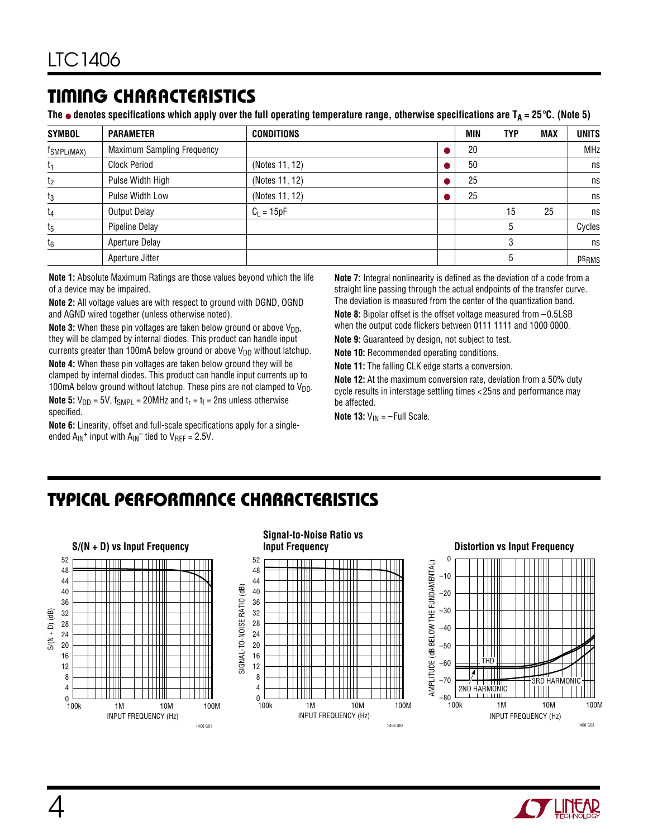### **TI I G CHARACTERISTICS <sup>W</sup> <sup>U</sup>**

The  $\bullet$  denotes specifications which apply over the full operating temperature range, otherwise specifications are T<sub>A</sub> = 25 $\degree$ C. (Note 5)

| <b>SYMBOL</b>          | <b>PARAMETER</b>                  | <b>CONDITIONS</b> | MIN | <b>TYP</b> | <b>MAX</b> | <b>UNITS</b>      |
|------------------------|-----------------------------------|-------------------|-----|------------|------------|-------------------|
| f <sub>SMPL(MAX)</sub> | <b>Maximum Sampling Frequency</b> |                   | 20  |            |            | <b>MHz</b>        |
| $t_1$                  | <b>Clock Period</b>               | (Notes 11, 12)    | 50  |            |            | ns                |
| t <sub>2</sub>         | Pulse Width High                  | (Notes 11, 12)    | 25  |            |            | ns                |
| $t_3$                  | Pulse Width Low                   | (Notes 11, 12)    | 25  |            |            | ns                |
| $t_4$                  | Output Delay                      | $C_1 = 15pF$      |     | 15         | 25         | ns                |
| $t_5$                  | Pipeline Delay                    |                   |     | 5          |            | Cycles            |
| $t_6$                  | Aperture Delay                    |                   |     | 3          |            | ns                |
|                        | Aperture Jitter                   |                   |     | 5          |            | ps <sub>RMS</sub> |

**Note 1:** Absolute Maximum Ratings are those values beyond which the life of a device may be impaired.

**Note 2:** All voltage values are with respect to ground with DGND, OGND and AGND wired together (unless otherwise noted).

**Note 3:** When these pin voltages are taken below ground or above V<sub>DD</sub>, they will be clamped by internal diodes. This product can handle input currents greater than 100mA below ground or above  $V_{DD}$  without latchup.

**Note 4:** When these pin voltages are taken below ground they will be clamped by internal diodes. This product can handle input currents up to 100mA below ground without latchup. These pins are not clamped to  $V_{DD}$ .

**Note 5:**  $V_{DD} = 5V$ ,  $f_{SMPL} = 20MHz$  and  $t_r = t_f = 2ns$  unless otherwise specified.

**Note 6:** Linearity, offset and full-scale specifications apply for a singleended  $A_{IN}$ <sup>+</sup> input with  $A_{IN}$ <sup>-</sup> tied to  $V_{REF}$  = 2.5V.

**Note 7:** Integral nonlinearity is defined as the deviation of a code from a straight line passing through the actual endpoints of the transfer curve. The deviation is measured from the center of the quantization band.

**Note 8:** Bipolar offset is the offset voltage measured from –0.5LSB when the output code flickers between 0111 1111 and 1000 0000.

**Note 9:** Guaranteed by design, not subject to test.

**Note 10:** Recommended operating conditions.

**Note 11:** The falling CLK edge starts a conversion.

**Note 12:** At the maximum conversion rate, deviation from a 50% duty cycle results in interstage settling times <25ns and performance may be affected.

**Note 13:**  $V_{\text{IN}} = -$  Full Scale.

### **TYPICAL PERFORMANCE CHARACTERISTICS U W**



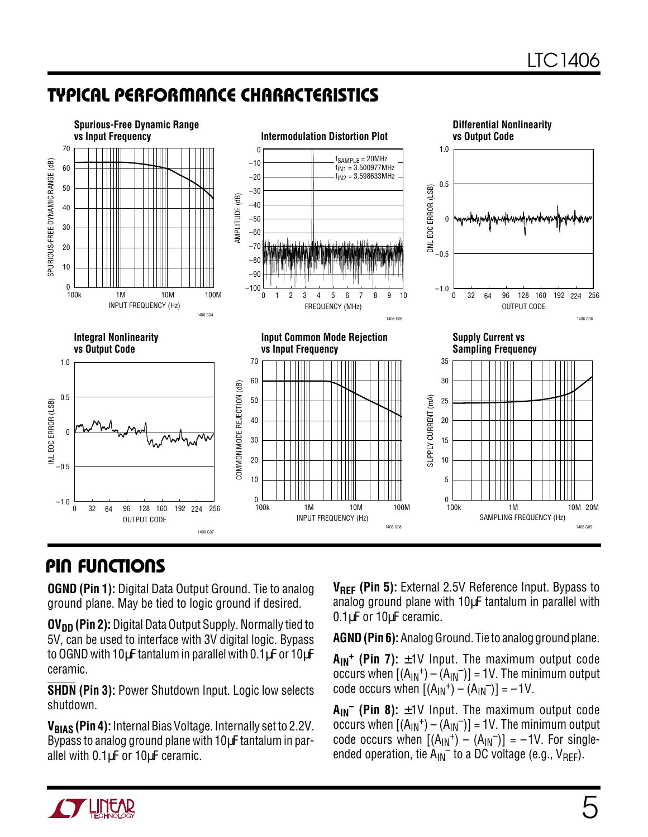## **TYPICAL PERFORMANCE CHARACTERISTICS U W**



### **PIN FUNCTIONS**

**OGND (Pin 1):** Digital Data Output Ground. Tie to analog ground plane. May be tied to logic ground if desired.

**OV<sub>DD</sub>** (Pin 2): Digital Data Output Supply. Normally tied to 5V, can be used to interface with 3V digital logic. Bypass to OGND with 10µF tantalum in parallel with 0.1µF or 10µF ceramic.

**SHDN (Pin 3):** Power Shutdown Input. Logic low selects shutdown.

**VBIAS (Pin 4):** Internal Bias Voltage. Internally set to 2.2V. Bypass to analog ground plane with 10µF tantalum in parallel with 0.1µF or 10µF ceramic.

**V<sub>RFF</sub>** (Pin 5): External 2.5V Reference Input. Bypass to analog ground plane with 10µF tantalum in parallel with 0.1µF or 10µF ceramic.

**AGND (Pin 6):** Analog Ground. Tie to analog ground plane.

 $A_{IN}$ <sup>+</sup> (Pin 7):  $\pm$ 1V Input. The maximum output code occurs when  $[(A_{IN}^+) - (A_{IN}^-)] = 1V$ . The minimum output code occurs when  $[(A_{1N}^+) - (A_{1N}^-)] = -1V$ .

 $A_{IN}^-$  (Pin 8):  $\pm$ 1V Input. The maximum output code occurs when  $[(A_{IN}^+) - (A_{IN}^-)] = 1V$ . The minimum output code occurs when  $[(A_{1N}^+) - (A_{1N}^-)] = -1V$ . For singleended operation, tie  $A_{IN}^-$  to a DC voltage (e.g.,  $V_{REF}$ ).

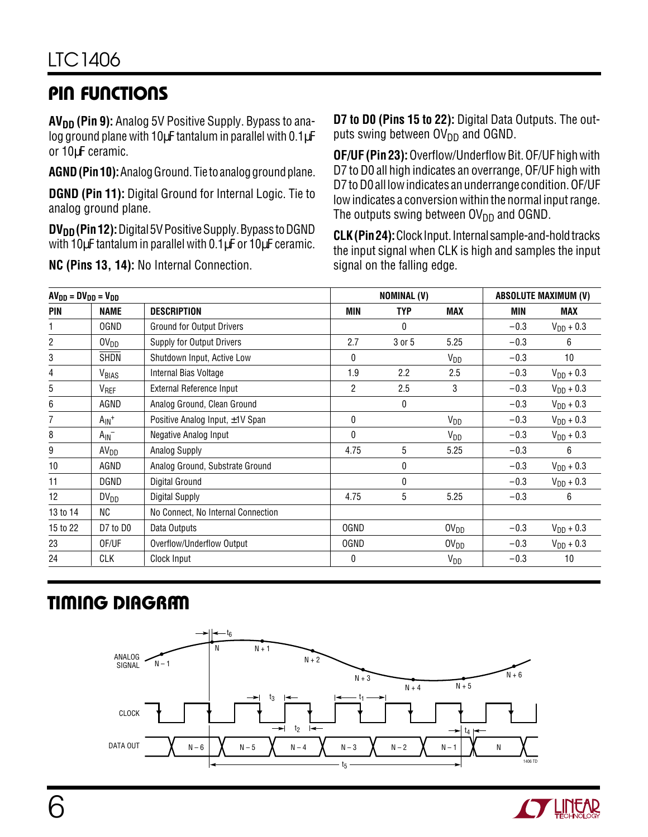# **PIN FUNCTIONS U UU**

**AV<sub>DD</sub>** (Pin 9): Analog 5V Positive Supply. Bypass to analog ground plane with 10µF tantalum in parallel with 0.1µF or 10µF ceramic.

**AGND (Pin 10):** Analog Ground. Tie to analog ground plane.

**DGND (Pin 11):** Digital Ground for Internal Logic. Tie to analog ground plane.

**DV<sub>DD</sub>** (Pin 12): Digital 5V Positive Supply. Bypass to DGND with 10µF tantalum in parallel with 0.1µF or 10µF ceramic.

**NC (Pins 13, 14):** No Internal Connection.

**D7 to D0 (Pins 15 to 22):** Digital Data Outputs. The outputs swing between  $O(V_{DD})$  and OGND.

**OF/UF (Pin 23):** Overflow/Underflow Bit. OF/UF high with D7 to D0 all high indicates an overrange, OF/UF high with D7 to D0 all low indicates an underrange condition. OF/UF low indicates a conversion within the normal input range. The outputs swing between  $\text{OV}_{DD}$  and OGND.

**CLK (Pin 24):** Clock Input. Internal sample-and-hold tracks the input signal when CLK is high and samples the input signal on the falling edge.

| $AVDD = DVDD = VDD$ |                       |                                      |              | <b>NOMINAL (V)</b> |                             |            | <b>ABSOLUTE MAXIMUM (V)</b> |  |  |
|---------------------|-----------------------|--------------------------------------|--------------|--------------------|-----------------------------|------------|-----------------------------|--|--|
| <b>PIN</b>          | <b>NAME</b>           | <b>DESCRIPTION</b>                   | MIN          | <b>TYP</b>         | MAX                         | <b>MIN</b> | MAX                         |  |  |
|                     | <b>OGND</b>           | <b>Ground for Output Drivers</b>     |              | 0                  |                             | $-0.3$     | $V_{DD} + 0.3$              |  |  |
| $\overline{c}$      | 0V <sub>DD</sub>      | Supply for Output Drivers            | 2.7          | 3 or 5             | 5.25                        | $-0.3$     | 6                           |  |  |
| 3                   | SHDN                  | Shutdown Input, Active Low           | $\mathbf{0}$ |                    | $V_{DD}$                    | $-0.3$     | 10                          |  |  |
| 4                   | V <sub>BIAS</sub>     | Internal Bias Voltage                | 1.9          | 2.2                | 2.5                         | $-0.3$     | $V_{DD} + 0.3$              |  |  |
| 5                   | V <sub>REF</sub>      | External Reference Input             | 2            | 2.5                | 3                           | $-0.3$     | $V_{DD} + 0.3$              |  |  |
| 6                   | AGND                  | Analog Ground, Clean Ground          |              | 0                  |                             | $-0.3$     | $V_{DD} + 0.3$              |  |  |
| 7                   | $A_{IN}$ <sup>+</sup> | Positive Analog Input, $\pm$ 1V Span | 0            |                    | V <sub>DD</sub>             | $-0.3$     | $V_{DD} + 0.3$              |  |  |
| 8                   | $A_{IN}^-$            | Negative Analog Input                | $\mathbf{0}$ |                    | $V_{DD}$                    | $-0.3$     | $V_{DD} + 0.3$              |  |  |
| 9                   | AV <sub>DD</sub>      | <b>Analog Supply</b>                 | 4.75         | 5                  | 5.25                        | $-0.3$     | 6                           |  |  |
| 10                  | AGND                  | Analog Ground, Substrate Ground      |              | 0                  |                             | $-0.3$     | $V_{DD} + 0.3$              |  |  |
| 11                  | DGND                  | <b>Digital Ground</b>                |              | 0                  |                             | $-0.3$     | $V_{DD} + 0.3$              |  |  |
| 12                  | $DV_{DD}$             | Digital Supply                       | 4.75         | 5                  | 5.25                        | $-0.3$     | 6                           |  |  |
| 13 to 14            | NC                    | No Connect, No Internal Connection   |              |                    |                             |            |                             |  |  |
| 15 to 22            | D7 to D0              | Data Outputs                         | 0GND         |                    | $\mathsf{OV}_{\mathsf{DD}}$ | $-0.3$     | $V_{DD} + 0.3$              |  |  |
| 23                  | OF/UF                 | Overflow/Underflow Output            | <b>OGND</b>  |                    | $\textsf{OV}_{\textsf{DD}}$ | $-0.3$     | $V_{DD} + 0.3$              |  |  |
| 24                  | CLK                   | Clock Input                          | 0            |                    | <b>V<sub>DD</sub></b>       | $-0.3$     | 10                          |  |  |

# **TIMING DIAGRAM**



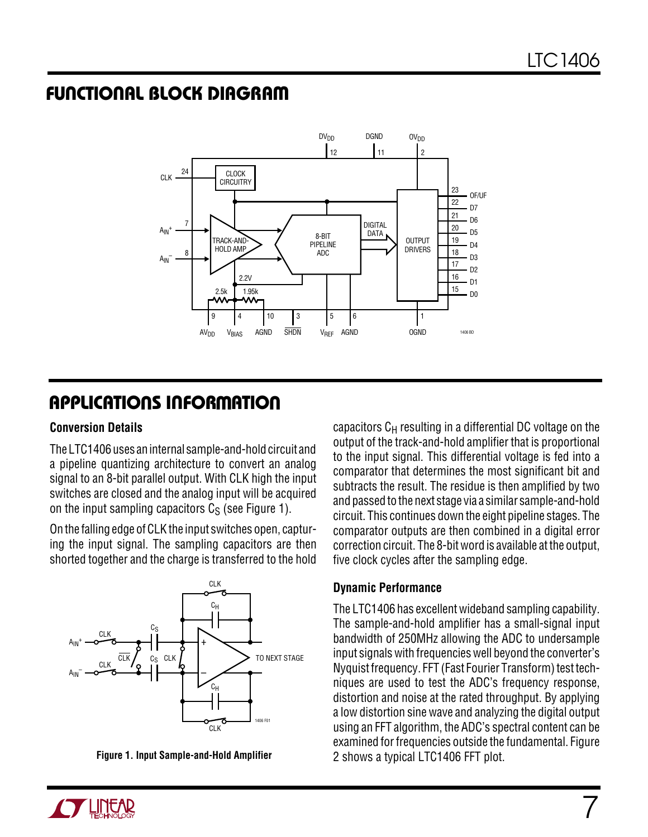### **FUNCTIONAL BLOCK DIAGRAM**



# **APPLICATIONS INFORMATION U W U U**

#### **Conversion Details**

The LTC1406 uses an internal sample-and-hold circuit and a pipeline quantizing architecture to convert an analog signal to an 8-bit parallel output. With CLK high the input switches are closed and the analog input will be acquired on the input sampling capacitors  $C_S$  (see Figure 1).

On the falling edge of CLK the input switches open, capturing the input signal. The sampling capacitors are then shorted together and the charge is transferred to the hold



**Figure 1. Input Sample-and-Hold Amplifier**

capacitors  $C_H$  resulting in a differential DC voltage on the output of the track-and-hold amplifier that is proportional to the input signal. This differential voltage is fed into a comparator that determines the most significant bit and subtracts the result. The residue is then amplified by two and passed to the next stage via a similar sample-and-hold circuit. This continues down the eight pipeline stages. The comparator outputs are then combined in a digital error correction circuit. The 8-bit word is available at the output, five clock cycles after the sampling edge.

#### **Dynamic Performance**

The LTC1406 has excellent wideband sampling capability. The sample-and-hold amplifier has a small-signal input bandwidth of 250MHz allowing the ADC to undersample input signals with frequencies well beyond the converter's Nyquist frequency. FFT (Fast Fourier Transform) test techniques are used to test the ADC's frequency response, distortion and noise at the rated throughput. By applying a low distortion sine wave and analyzing the digital output using an FFT algorithm, the ADC's spectral content can be examined for frequencies outside the fundamental. Figure 2 shows a typical LTC1406 FFT plot.

7

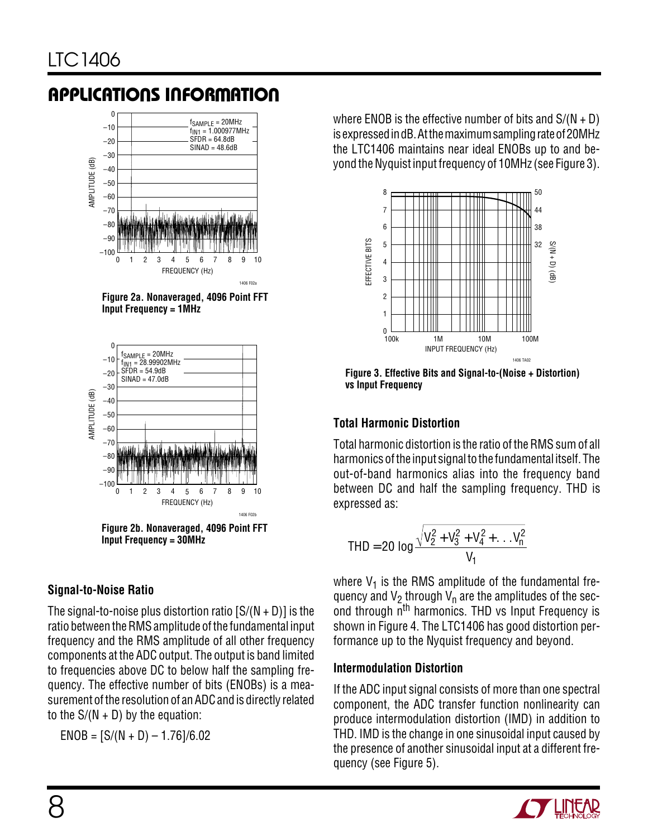

**Figure 2a. Nonaveraged, 4096 Point FFT Input Frequency = 1MHz**



**Figure 2b. Nonaveraged, 4096 Point FFT Input Frequency = 30MHz**

### **Signal-to-Noise Ratio**

The signal-to-noise plus distortion ratio  $[S/(N + D)]$  is the ratio between the RMS amplitude of the fundamental input frequency and the RMS amplitude of all other frequency components at the ADC output. The output is band limited to frequencies above DC to below half the sampling frequency. The effective number of bits (ENOBs) is a measurement of the resolution of an ADC and is directly related to the  $S/(N + D)$  by the equation:

 $ENOB = [S/(N + D) - 1.76]/6.02$ 

where ENOB is the effective number of bits and  $S/(N + D)$ is expressed in dB. At the maximum sampling rate of 20MHz the LTC1406 maintains near ideal ENOBs up to and beyond the Nyquist input frequency of 10MHz (see Figure 3).



**Figure 3. Effective Bits and Signal-to-(Noise + Distortion) vs Input Frequency**

### **Total Harmonic Distortion**

Total harmonic distortion is the ratio of the RMS sum of all harmonics of the input signal to the fundamental itself. The out-of-band harmonics alias into the frequency band between DC and half the sampling frequency. THD is expressed as:

$$
\text{THD} = 20 \text{ log } \frac{\sqrt{V_2^2 + V_3^2 + V_4^2 + \dots V_n^2}}{V_1}
$$

where  $V_1$  is the RMS amplitude of the fundamental frequency and V<sub>2</sub> through V<sub>n</sub> are the amplitudes of the second through n<sup>th</sup> harmonics. THD vs Input Frequency is shown in Figure 4. The LTC1406 has good distortion performance up to the Nyquist frequency and beyond.

#### **Intermodulation Distortion**

If the ADC input signal consists of more than one spectral component, the ADC transfer function nonlinearity can produce intermodulation distortion (IMD) in addition to THD. IMD is the change in one sinusoidal input caused by the presence of another sinusoidal input at a different frequency (see Figure 5).

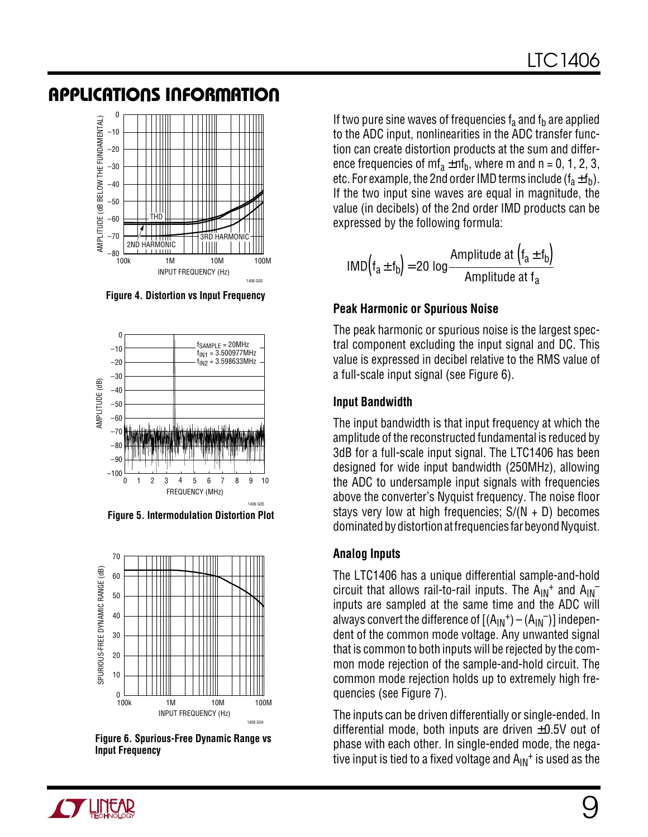

**Figure 4. Distortion vs Input Frequency**



**Figure 5. Intermodulation Distortion Plot**



**Figure 6. Spurious-Free Dynamic Range vs Input Frequency**

If two pure sine waves of frequencies  $f_a$  and  $f_b$  are applied to the ADC input, nonlinearities in the ADC transfer function can create distortion products at the sum and difference frequencies of  $mf_a \pm nf_b$ , where m and n = 0, 1, 2, 3, etc. For example, the 2nd order IMD terms include  $(f_a \pm f_b)$ . If the two input sine waves are equal in magnitude, the value (in decibels) of the 2nd order IMD products can be expressed by the following formula:

$$
IMD(f_a \pm f_b) = 20 \log \frac{Amplitude \text{ at } (f_a \pm f_b)}{Amplitude \text{ at } f_a}
$$

#### **Peak Harmonic or Spurious Noise**

The peak harmonic or spurious noise is the largest spectral component excluding the input signal and DC. This value is expressed in decibel relative to the RMS value of a full-scale input signal (see Figure 6).

#### **Input Bandwidth**

The input bandwidth is that input frequency at which the amplitude of the reconstructed fundamental is reduced by 3dB for a full-scale input signal. The LTC1406 has been designed for wide input bandwidth (250MHz), allowing the ADC to undersample input signals with frequencies above the converter's Nyquist frequency. The noise floor stays very low at high frequencies;  $S/(N + D)$  becomes dominated by distortion at frequencies far beyond Nyquist.

#### **Analog Inputs**

The LTC1406 has a unique differential sample-and-hold circuit that allows rail-to-rail inputs. The  $A_{IN}^+$  and  $A_{IN}^$ inputs are sampled at the same time and the ADC will always convert the difference of  $[(A_{IN}^+) - (A_{IN}^-)]$  independent of the common mode voltage. Any unwanted signal that is common to both inputs will be rejected by the common mode rejection of the sample-and-hold circuit. The common mode rejection holds up to extremely high frequencies (see Figure 7).

The inputs can be driven differentially or single-ended. In differential mode, both inputs are driven  $\pm 0.5V$  out of phase with each other. In single-ended mode, the negative input is tied to a fixed voltage and  $A_{IN}$ <sup>+</sup> is used as the

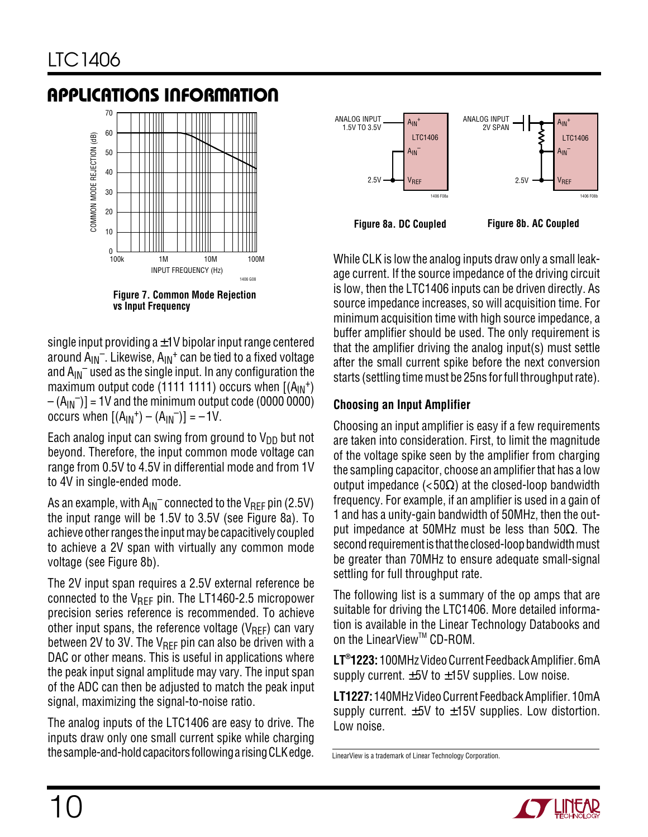

**Figure 7. Common Mode Rejection vs Input Frequency**

single input providing  $a \pm 1$ V bipolar input range centered around  $A_{IN}^-$ . Likewise,  $A_{IN}^+$  can be tied to a fixed voltage and  $A_{IN}$ <sup>–</sup> used as the single input. In any configuration the maximum output code (1111 1111) occurs when  $[(A_{IN}^+)$  $-(A_{IN})$  = 1V and the minimum output code (0000 0000) occurs when  $[(A_{IN}^+) - (A_{IN}^-)] = -1V$ .

Each analog input can swing from ground to  $V_{DD}$  but not beyond. Therefore, the input common mode voltage can range from 0.5V to 4.5V in differential mode and from 1V to 4V in single-ended mode.

As an example, with  $A_{IN}^-$  connected to the  $V_{REF}$  pin (2.5V) the input range will be 1.5V to 3.5V (see Figure 8a). To achieve other ranges the input may be capacitively coupled to achieve a 2V span with virtually any common mode voltage (see Figure 8b).

The 2V input span requires a 2.5V external reference be connected to the  $V_{\text{RFF}}$  pin. The LT1460-2.5 micropower precision series reference is recommended. To achieve other input spans, the reference voltage ( $V_{\text{RFF}}$ ) can vary between 2V to 3V. The  $V_{REF}$  pin can also be driven with a DAC or other means. This is useful in applications where the peak input signal amplitude may vary. The input span of the ADC can then be adjusted to match the peak input signal, maximizing the signal-to-noise ratio.

The analog inputs of the LTC1406 are easy to drive. The inputs draw only one small current spike while charging the sample-and-hold capacitors following a rising CLK edge.



While CLK is low the analog inputs draw only a small leakage current. If the source impedance of the driving circuit is low, then the LTC1406 inputs can be driven directly. As source impedance increases, so will acquisition time. For minimum acquisition time with high source impedance, a buffer amplifier should be used. The only requirement is that the amplifier driving the analog input(s) must settle after the small current spike before the next conversion starts (settling time must be 25ns for full throughput rate).

### **Choosing an Input Amplifier**

Choosing an input amplifier is easy if a few requirements are taken into consideration. First, to limit the magnitude of the voltage spike seen by the amplifier from charging the sampling capacitor, choose an amplifier that has a low output impedance  $\left( <\frac{50}{\Omega} \right)$  at the closed-loop bandwidth frequency. For example, if an amplifier is used in a gain of 1 and has a unity-gain bandwidth of 50MHz, then the output impedance at 50MHz must be less than 50Ω. The second requirement is that the closed-loop bandwidth must be greater than 70MHz to ensure adequate small-signal settling for full throughput rate.

The following list is a summary of the op amps that are suitable for driving the LTC1406. More detailed information is available in the Linear Technology Databooks and on the LinearView™ CD-ROM.

**LT®1223:** 100MHz Video Current Feedback Amplifier. 6mA supply current.  $\pm 5V$  to  $\pm 15V$  supplies. Low noise.

**LT1227:** 140MHz Video Current Feedback Amplifier. 10mA supply current.  $\pm 5V$  to  $\pm 15V$  supplies. Low distortion. Low noise.

LinearView is a trademark of Linear Technology Corporation.

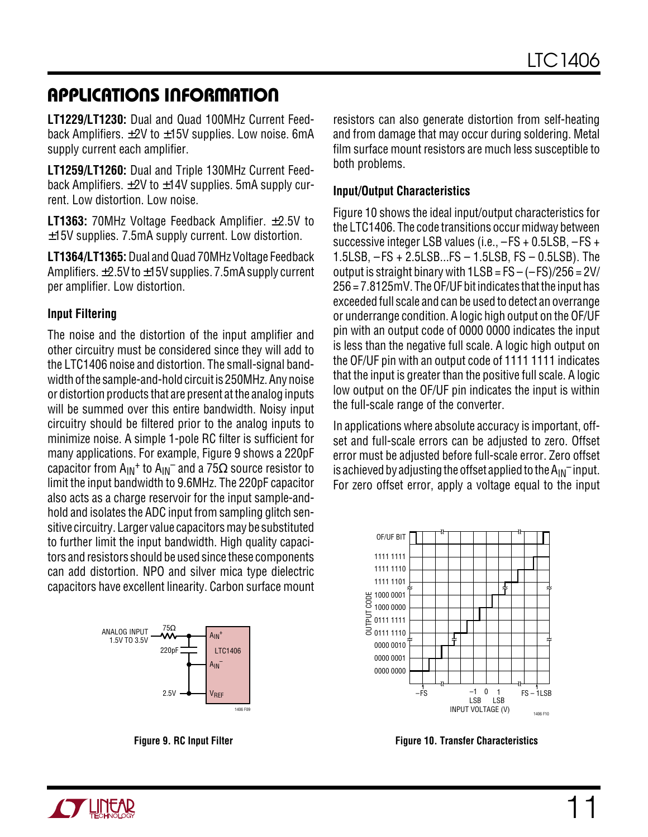**LT1229/LT1230:** Dual and Quad 100MHz Current Feedback Amplifiers.  $\pm 2V$  to  $\pm 15V$  supplies. Low noise. 6mA supply current each amplifier.

**LT1259/LT1260:** Dual and Triple 130MHz Current Feedback Amplifiers.  $\pm$ 2V to  $\pm$ 14V supplies. 5mA supply current. Low distortion. Low noise.

**LT1363:** 70MHz Voltage Feedback Amplifier. ±2.5V to ±15V supplies. 7.5mA supply current. Low distortion.

**LT1364/LT1365:** Dual and Quad 70MHz Voltage Feedback Amplifiers. ±2.5V to ±15V supplies. 7.5mA supply current per amplifier. Low distortion.

#### **Input Filtering**

The noise and the distortion of the input amplifier and other circuitry must be considered since they will add to the LTC1406 noise and distortion. The small-signal bandwidth of the sample-and-hold circuit is 250MHz. Any noise or distortion products that are present at the analog inputs will be summed over this entire bandwidth. Noisy input circuitry should be filtered prior to the analog inputs to minimize noise. A simple 1-pole RC filter is sufficient for many applications. For example, Figure 9 shows a 220pF capacitor from  $A_{IN}$ <sup>+</sup> to  $A_{IN}^-$  and a 75 $\Omega$  source resistor to limit the input bandwidth to 9.6MHz. The 220pF capacitor also acts as a charge reservoir for the input sample-andhold and isolates the ADC input from sampling glitch sensitive circuitry. Larger value capacitors may be substituted to further limit the input bandwidth. High quality capacitors and resistors should be used since these components can add distortion. NPO and silver mica type dielectric capacitors have excellent linearity. Carbon surface mount



resistors can also generate distortion from self-heating and from damage that may occur during soldering. Metal film surface mount resistors are much less susceptible to both problems.

#### **Input/Output Characteristics**

Figure 10 shows the ideal input/output characteristics for the LTC1406. The code transitions occur midway between successive integer LSB values (i.e., –FS + 0.5LSB, –FS + 1.5LSB, – FS + 2.5LSB...FS – 1.5LSB, FS – 0.5LSB). The output is straight binary with  $1LSB = FS - (-FS)/256 = 2V/$ 256 = 7.8125mV. The OF/UF bit indicates that the input has exceeded full scale and can be used to detect an overrange or underrange condition. A logic high output on the OF/UF pin with an output code of 0000 0000 indicates the input is less than the negative full scale. A logic high output on the OF/UF pin with an output code of 1111 1111 indicates that the input is greater than the positive full scale. A logic low output on the OF/UF pin indicates the input is within the full-scale range of the converter.

In applications where absolute accuracy is important, offset and full-scale errors can be adjusted to zero. Offset error must be adjusted before full-scale error. Zero offset is achieved by adjusting the offset applied to the  $A_{IN}^-$  input. For zero offset error, apply a voltage equal to the input



**Figure 9. RC Input Filter Figure 10. Transfer Characteristics**

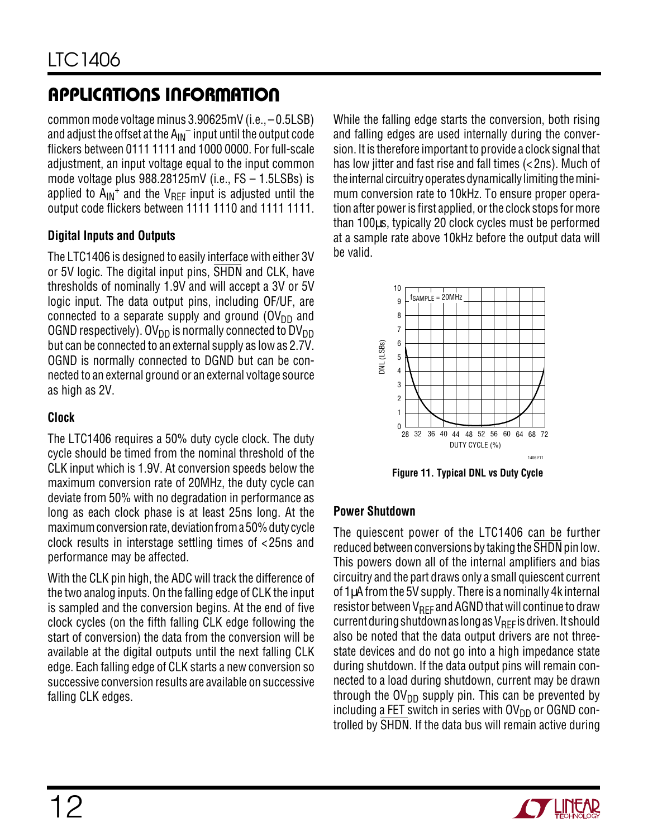common mode voltage minus 3.90625mV (i.e., – 0.5LSB) and adjust the offset at the  $A_{IN}^-$  input until the output code flickers between 0111 1111 and 1000 0000. For full-scale adjustment, an input voltage equal to the input common mode voltage plus 988.28125mV (i.e., FS – 1.5LSBs) is applied to  $A_{IN}$ <sup>+</sup> and the V<sub>RFF</sub> input is adjusted until the output code flickers between 1111 1110 and 1111 1111.

#### **Digital Inputs and Outputs**

The LTC1406 is designed to easily interface with either 3V or 5V logic. The digital input pins, SHDN and CLK, have thresholds of nominally 1.9V and will accept a 3V or 5V logic input. The data output pins, including OF/UF, are connected to a separate supply and ground  $(OV<sub>DD</sub>$  and OGND respectively). OV<sub>DD</sub> is normally connected to DV<sub>DD</sub> but can be connected to an external supply as low as 2.7V. OGND is normally connected to DGND but can be connected to an external ground or an external voltage source as high as 2V.

### **Clock**

The LTC1406 requires a 50% duty cycle clock. The duty cycle should be timed from the nominal threshold of the CLK input which is 1.9V. At conversion speeds below the maximum conversion rate of 20MHz, the duty cycle can deviate from 50% with no degradation in performance as long as each clock phase is at least 25ns long. At the maximum conversion rate, deviation from a 50% duty cycle clock results in interstage settling times of <25ns and performance may be affected.

With the CLK pin high, the ADC will track the difference of the two analog inputs. On the falling edge of CLK the input is sampled and the conversion begins. At the end of five clock cycles (on the fifth falling CLK edge following the start of conversion) the data from the conversion will be available at the digital outputs until the next falling CLK edge. Each falling edge of CLK starts a new conversion so successive conversion results are available on successive falling CLK edges.

While the falling edge starts the conversion, both rising and falling edges are used internally during the conversion. It is therefore important to provide a clock signal that has low jitter and fast rise and fall times (< 2ns). Much of the internal circuitry operates dynamically limiting the minimum conversion rate to 10kHz. To ensure proper operation after power is first applied, or the clock stops for more than 100µs, typically 20 clock cycles must be performed at a sample rate above 10kHz before the output data will be valid.



**Figure 11. Typical DNL vs Duty Cycle**

#### **Power Shutdown**

The quiescent power of the LTC1406 can be further reduced between conversions by taking the SHDN pin low. This powers down all of the internal amplifiers and bias circuitry and the part draws only a small quiescent current of 1µA from the 5V supply. There is a nominally 4k internal resistor between  $V_{\text{RFF}}$  and AGND that will continue to draw current during shutdown as long as  $V_{\text{RFF}}$  is driven. It should also be noted that the data output drivers are not threestate devices and do not go into a high impedance state during shutdown. If the data output pins will remain connected to a load during shutdown, current may be drawn through the  $O(V_{DD}$  supply pin. This can be prevented by including a FET switch in series with  $O(V_{DD})$  or OGND controlled by SHDN. If the data bus will remain active during

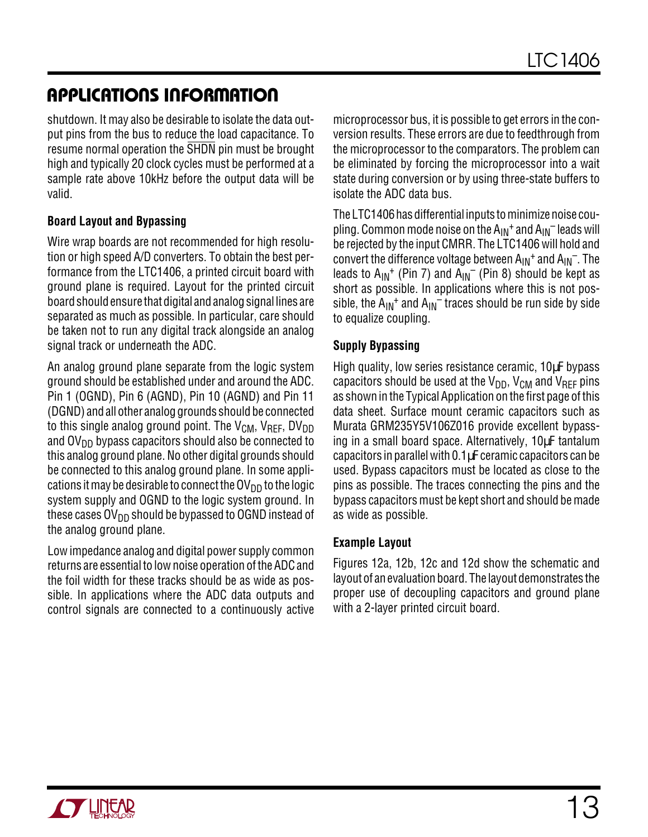shutdown. It may also be desirable to isolate the data output pins from the bus to reduce the load capacitance. To resume normal operation the SHDN pin must be brought high and typically 20 clock cycles must be performed at a sample rate above 10kHz before the output data will be valid.

#### **Board Layout and Bypassing**

Wire wrap boards are not recommended for high resolution or high speed A/D converters. To obtain the best performance from the LTC1406, a printed circuit board with ground plane is required. Layout for the printed circuit board should ensure that digital and analog signal lines are separated as much as possible. In particular, care should be taken not to run any digital track alongside an analog signal track or underneath the ADC.

An analog ground plane separate from the logic system ground should be established under and around the ADC. Pin 1 (OGND), Pin 6 (AGND), Pin 10 (AGND) and Pin 11 (DGND) and all other analog grounds should be connected to this single analog ground point. The  $V_{CM}$ ,  $V_{REF}$ , DV<sub>DD</sub> and  $\text{OV}_{\text{DD}}$  bypass capacitors should also be connected to this analog ground plane. No other digital grounds should be connected to this analog ground plane. In some applications it may be desirable to connect the  $\overline{O}V_{DD}$  to the logic system supply and OGND to the logic system ground. In these cases  $\mathsf{OV}_{\mathsf{DD}}$  should be bypassed to OGND instead of the analog ground plane.

Low impedance analog and digital power supply common returns are essential to low noise operation of the ADC and the foil width for these tracks should be as wide as possible. In applications where the ADC data outputs and control signals are connected to a continuously active microprocessor bus, it is possible to get errors in the conversion results. These errors are due to feedthrough from the microprocessor to the comparators. The problem can be eliminated by forcing the microprocessor into a wait state during conversion or by using three-state buffers to isolate the ADC data bus.

The LTC1406 has differential inputs to minimize noise coupling. Common mode noise on the  $A_{IN}^+$  and  $A_{IN}^-$  leads will be rejected by the input CMRR. The LTC1406 will hold and convert the difference voltage between  $A_{IN}^+$  and  $A_{IN}^-$ . The leads to  $A_{IN}$ <sup>+</sup> (Pin 7) and  $A_{IN}$ <sup>-</sup> (Pin 8) should be kept as short as possible. In applications where this is not possible, the  $A_{IN}$ <sup>+</sup> and  $A_{IN}$ <sup>-</sup> traces should be run side by side to equalize coupling.

#### **Supply Bypassing**

High quality, low series resistance ceramic, 10µF bypass capacitors should be used at the  $V_{DD}$ ,  $V_{CM}$  and  $V_{RFF}$  pins as shown in the Typical Application on the first page of this data sheet. Surface mount ceramic capacitors such as Murata GRM235Y5V106Z016 provide excellent bypassing in a small board space. Alternatively, 10µF tantalum capacitors in parallel with 0.1µF ceramic capacitors can be used. Bypass capacitors must be located as close to the pins as possible. The traces connecting the pins and the bypass capacitors must be kept short and should be made as wide as possible.

#### **Example Layout**

Figures 12a, 12b, 12c and 12d show the schematic and layout of an evaluation board. The layout demonstrates the proper use of decoupling capacitors and ground plane with a 2-layer printed circuit board.

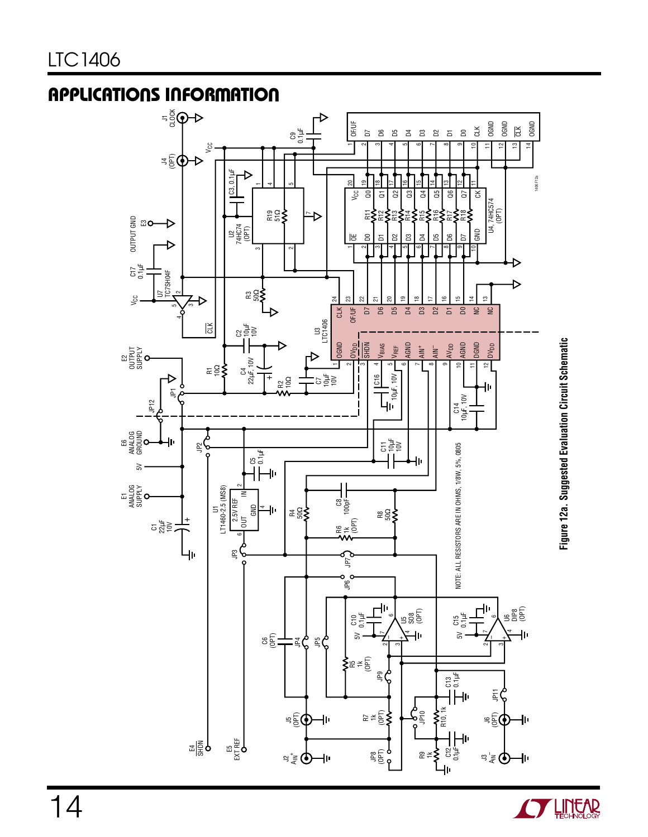

Figure 12a. Suggested Evaluation Circuit Schematic **Figure 12a. Suggested Evaluation Circuit Schematic**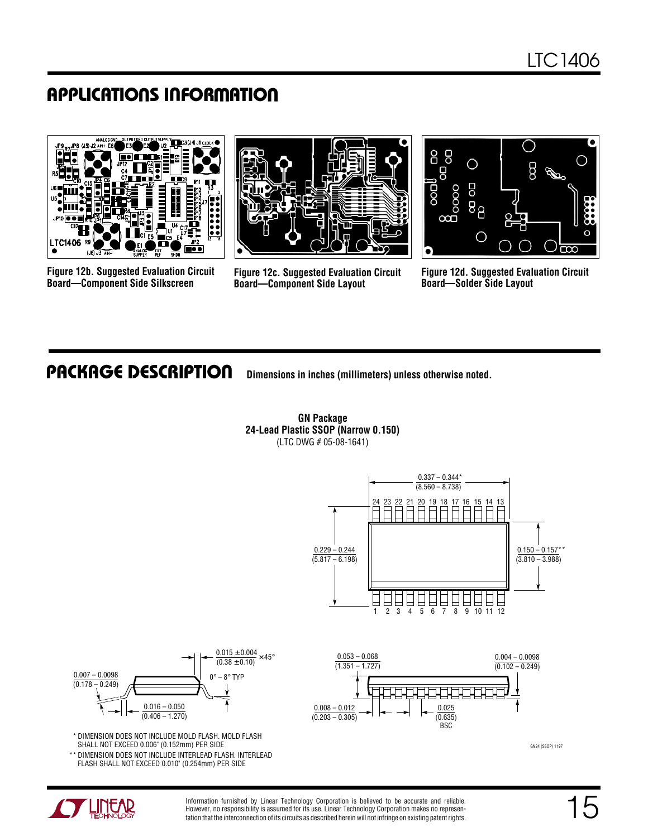

**Figure 12b. Suggested Evaluation Circuit Board—Component Side Silkscreen**



**Figure 12c. Suggested Evaluation Circuit Board—Component Side Layout**



**Figure 12d. Suggested Evaluation Circuit Board—Solder Side Layout**

### **PACKAGE DESCRIPTION**

**UDimensions in inches (millimeters) unless otherwise noted.**



**GN Package 24-Lead Plastic SSOP (Narrow 0.150)** (LTC DWG # 05-08-1641)



 \* DIMENSION DOES NOT INCLUDE MOLD FLASH. MOLD FLASH SHALL NOT EXCEED 0.006" (0.152mm) PER SIDE

 \*\* DIMENSION DOES NOT INCLUDE INTERLEAD FLASH. INTERLEAD FLASH SHALL NOT EXCEED 0.010" (0.254mm) PER SIDE



GN24 (SSOP) 1197



Information furnished by Linear Technology Corporation is believed to be accurate and reliable. However, no responsibility is assumed for its use. Linear Technology Corporation makes no representation that the interconnection of its circuits as described herein will not infringe on existing patent rights.